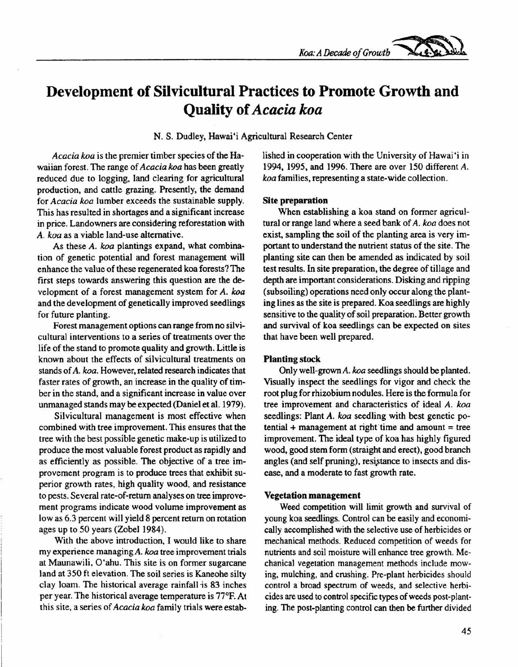

# **Development of Silvicultural Practices to Promote Growth and Quality of** *Acacia koa*

N. S. Dudley, Hawai'i Agricultural Research Center

*Acacia koa* is the premier timber species of the Hawaiian forest. The range of *Acacia koa* has been greatly reduced due to logging, land clearing for agricultural production, and cattle grazing. Presently, the demand for *Acacia koa* lumber exceeds the sustainable supply. This has resulted in shortages and a significant increase in price. Landowners are considering reforestation with *A. koa* as a viable land-use alternative.

As these *A. koa* plantings expand, what combination of genetic potential and forest management will enhance the value of these regenerated koa forests? The first steps towards answering this question are the development of a forest management system for *A. koa* and the development of genetically improved seedlings for future planting.

Forest management options can range from no silvicultural interventions to a series of treatments over the life of the stand to promote quality and growth. Little is known about the effects of silvicultural treatments on stands of *A. koa.* However, related research indicates that faster rates of growth, an increase in the quality of timber in the stand, and a significant increase in value over unmanaged stands may be expected (Daniel et al. 1979).

Silvicultural management is most effective when combined with tree improvement. This ensures that the tree with the best possible genetic make-up is utilized to produce the most valuable forest product as rapidly and as efficiently as possible. The objective of a tree improvement program is to produce trees that exhibit superior growth rates, high quality wood, and resistance to pests. Several rate-of-return analyses on tree improvement programs indicate wood volume improvement as low as 6.3 percent will yield 8 percent return on rotation ages up to 50 years (Zobel 1984).

With the above introduction, I would like to share my experience managingA. *koa* tree improvement trials at Maunawili, O'ahu. This site is on former sugarcane land at 350 ft elevation. The soil series is Kaneohe silty clay loam. The historical average rainfall is 83 inches per year. The historical average temperature is 77°F. At this site, a series of *Acacia koa* family trials were established in cooperation with the University of Hawai 'i in 1994, 1995, and 1996. There are over 150 different *A. koa* families, representing a state-wide collection.

#### **Site preparation**

When establishing a koa stand on former agricultural or range land where a seed bank of *A. koa* does not exist, sampling the soil of the planting area is very important to understand the nutrient status of the site. The planting site can then be amended as indicated by soil test results. In site preparation, the degree of tillage and depth are important considerations. Disking and ripping (subsoiling) operations need only occur along the planting lines as the site is prepared. Koa seedlings are highly sensitive to the quality of soil preparation. Better growth and survival of koa seedlings can be expected on sites that have been well prepared.

#### **Planting stock**

Only well-grown *A. koa* seedlings should be planted. Visually inspect the seedlings for vigor and check the root plug for rhizobium nodules. Here is the formula for tree improvement and characteristics of ideal *A. koa* seedlings: Plant *A. koa* seedling with best genetic po $tential + management$  at right time and amount = tree improvement. The ideal type of koa has highly figured wood, good stem form (straight and erect), good branch angles (and self pruning), resistance to insects and disease, and a moderate to fast growth rate.

#### **Vegetation management**

Weed competition will limit growth and survival of young koa seedlings. Control can be easily and economically accomplished with the selective use of herbicides or mechanical methods. Reduced competition of weeds for nutrients and soil moisture will enhance tree growth. Mechanical vegetation management methods include mowing, mulching, and crushing. Pre-plant herbicides should control a broad spectrum of weeds, and selective herbicides are used to control specific types of weeds post-planting. The post-planting control can then be further divided